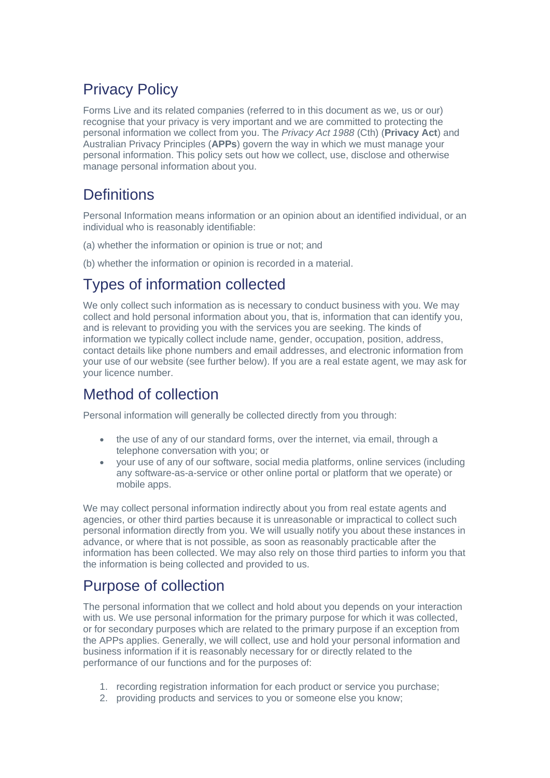# Privacy Policy

Forms Live and its related companies (referred to in this document as we, us or our) recognise that your privacy is very important and we are committed to protecting the personal information we collect from you. The *Privacy Act 1988* (Cth) (**Privacy Act**) and Australian Privacy Principles (**APPs**) govern the way in which we must manage your personal information. This policy sets out how we collect, use, disclose and otherwise manage personal information about you.

# **Definitions**

Personal Information means information or an opinion about an identified individual, or an individual who is reasonably identifiable:

- (a) whether the information or opinion is true or not; and
- (b) whether the information or opinion is recorded in a material.

# Types of information collected

We only collect such information as is necessary to conduct business with you. We may collect and hold personal information about you, that is, information that can identify you, and is relevant to providing you with the services you are seeking. The kinds of information we typically collect include name, gender, occupation, position, address, contact details like phone numbers and email addresses, and electronic information from your use of our website (see further below). If you are a real estate agent, we may ask for your licence number.

# Method of collection

Personal information will generally be collected directly from you through:

- the use of any of our standard forms, over the internet, via email, through a telephone conversation with you; or
- your use of any of our software, social media platforms, online services (including any software-as-a-service or other online portal or platform that we operate) or mobile apps.

We may collect personal information indirectly about you from real estate agents and agencies, or other third parties because it is unreasonable or impractical to collect such personal information directly from you. We will usually notify you about these instances in advance, or where that is not possible, as soon as reasonably practicable after the information has been collected. We may also rely on those third parties to inform you that the information is being collected and provided to us.

# Purpose of collection

The personal information that we collect and hold about you depends on your interaction with us. We use personal information for the primary purpose for which it was collected, or for secondary purposes which are related to the primary purpose if an exception from the APPs applies. Generally, we will collect, use and hold your personal information and business information if it is reasonably necessary for or directly related to the performance of our functions and for the purposes of:

- 1. recording registration information for each product or service you purchase;
- 2. providing products and services to you or someone else you know;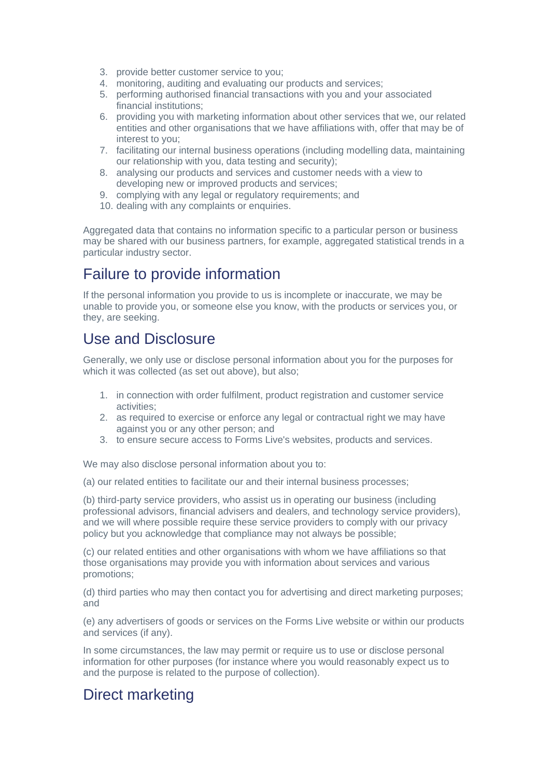- 3. provide better customer service to you;
- 4. monitoring, auditing and evaluating our products and services;
- 5. performing authorised financial transactions with you and your associated financial institutions;
- 6. providing you with marketing information about other services that we, our related entities and other organisations that we have affiliations with, offer that may be of interest to you;
- 7. facilitating our internal business operations (including modelling data, maintaining our relationship with you, data testing and security);
- 8. analysing our products and services and customer needs with a view to developing new or improved products and services;
- 9. complying with any legal or regulatory requirements; and
- 10. dealing with any complaints or enquiries.

Aggregated data that contains no information specific to a particular person or business may be shared with our business partners, for example, aggregated statistical trends in a particular industry sector.

### Failure to provide information

If the personal information you provide to us is incomplete or inaccurate, we may be unable to provide you, or someone else you know, with the products or services you, or they, are seeking.

# Use and Disclosure

Generally, we only use or disclose personal information about you for the purposes for which it was collected (as set out above), but also;

- 1. in connection with order fulfilment, product registration and customer service activities;
- 2. as required to exercise or enforce any legal or contractual right we may have against you or any other person; and
- 3. to ensure secure access to Forms Live's websites, products and services.

We may also disclose personal information about you to:

(a) our related entities to facilitate our and their internal business processes;

(b) third-party service providers, who assist us in operating our business (including professional advisors, financial advisers and dealers, and technology service providers), and we will where possible require these service providers to comply with our privacy policy but you acknowledge that compliance may not always be possible;

(c) our related entities and other organisations with whom we have affiliations so that those organisations may provide you with information about services and various promotions;

(d) third parties who may then contact you for advertising and direct marketing purposes; and

(e) any advertisers of goods or services on the Forms Live website or within our products and services (if any).

In some circumstances, the law may permit or require us to use or disclose personal information for other purposes (for instance where you would reasonably expect us to and the purpose is related to the purpose of collection).

#### Direct marketing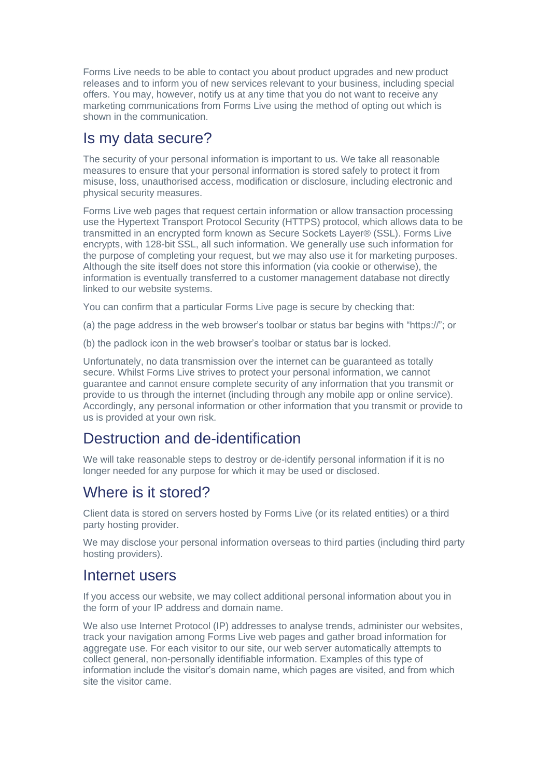Forms Live needs to be able to contact you about product upgrades and new product releases and to inform you of new services relevant to your business, including special offers. You may, however, notify us at any time that you do not want to receive any marketing communications from Forms Live using the method of opting out which is shown in the communication.

### Is my data secure?

The security of your personal information is important to us. We take all reasonable measures to ensure that your personal information is stored safely to protect it from misuse, loss, unauthorised access, modification or disclosure, including electronic and physical security measures.

Forms Live web pages that request certain information or allow transaction processing use the Hypertext Transport Protocol Security (HTTPS) protocol, which allows data to be transmitted in an encrypted form known as Secure Sockets Layer® (SSL). Forms Live encrypts, with 128-bit SSL, all such information. We generally use such information for the purpose of completing your request, but we may also use it for marketing purposes. Although the site itself does not store this information (via cookie or otherwise), the information is eventually transferred to a customer management database not directly linked to our website systems.

You can confirm that a particular Forms Live page is secure by checking that:

(a) the page address in the web browser's toolbar or status bar begins with "https://"; or

(b) the padlock icon in the web browser's toolbar or status bar is locked.

Unfortunately, no data transmission over the internet can be guaranteed as totally secure. Whilst Forms Live strives to protect your personal information, we cannot guarantee and cannot ensure complete security of any information that you transmit or provide to us through the internet (including through any mobile app or online service). Accordingly, any personal information or other information that you transmit or provide to us is provided at your own risk.

#### Destruction and de-identification

We will take reasonable steps to destroy or de-identify personal information if it is no longer needed for any purpose for which it may be used or disclosed.

# Where is it stored?

Client data is stored on servers hosted by Forms Live (or its related entities) or a third party hosting provider.

We may disclose your personal information overseas to third parties (including third party hosting providers).

#### Internet users

If you access our website, we may collect additional personal information about you in the form of your IP address and domain name.

We also use Internet Protocol (IP) addresses to analyse trends, administer our websites, track your navigation among Forms Live web pages and gather broad information for aggregate use. For each visitor to our site, our web server automatically attempts to collect general, non-personally identifiable information. Examples of this type of information include the visitor's domain name, which pages are visited, and from which site the visitor came.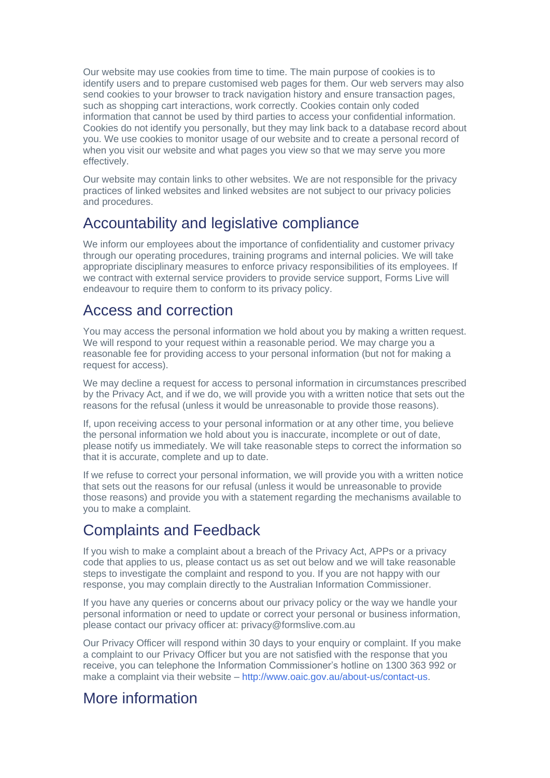Our website may use cookies from time to time. The main purpose of cookies is to identify users and to prepare customised web pages for them. Our web servers may also send cookies to your browser to track navigation history and ensure transaction pages, such as shopping cart interactions, work correctly. Cookies contain only coded information that cannot be used by third parties to access your confidential information. Cookies do not identify you personally, but they may link back to a database record about you. We use cookies to monitor usage of our website and to create a personal record of when you visit our website and what pages you view so that we may serve you more effectively.

Our website may contain links to other websites. We are not responsible for the privacy practices of linked websites and linked websites are not subject to our privacy policies and procedures.

#### Accountability and legislative compliance

We inform our employees about the importance of confidentiality and customer privacy through our operating procedures, training programs and internal policies. We will take appropriate disciplinary measures to enforce privacy responsibilities of its employees. If we contract with external service providers to provide service support, Forms Live will endeavour to require them to conform to its privacy policy.

#### Access and correction

You may access the personal information we hold about you by making a written request. We will respond to your request within a reasonable period. We may charge you a reasonable fee for providing access to your personal information (but not for making a request for access).

We may decline a request for access to personal information in circumstances prescribed by the Privacy Act, and if we do, we will provide you with a written notice that sets out the reasons for the refusal (unless it would be unreasonable to provide those reasons).

If, upon receiving access to your personal information or at any other time, you believe the personal information we hold about you is inaccurate, incomplete or out of date, please notify us immediately. We will take reasonable steps to correct the information so that it is accurate, complete and up to date.

If we refuse to correct your personal information, we will provide you with a written notice that sets out the reasons for our refusal (unless it would be unreasonable to provide those reasons) and provide you with a statement regarding the mechanisms available to you to make a complaint.

# Complaints and Feedback

If you wish to make a complaint about a breach of the Privacy Act, APPs or a privacy code that applies to us, please contact us as set out below and we will take reasonable steps to investigate the complaint and respond to you. If you are not happy with our response, you may complain directly to the Australian Information Commissioner.

If you have any queries or concerns about our privacy policy or the way we handle your personal information or need to update or correct your personal or business information, please contact our privacy officer at: privacy@formslive.com.au

Our Privacy Officer will respond within 30 days to your enquiry or complaint. If you make a complaint to our Privacy Officer but you are not satisfied with the response that you receive, you can telephone the Information Commissioner's hotline on 1300 363 992 or make a complaint via their website – [http://www.oaic.gov.au/about-us/contact-us.](https://www.oaic.gov.au/about-us/contact-us)

# More information